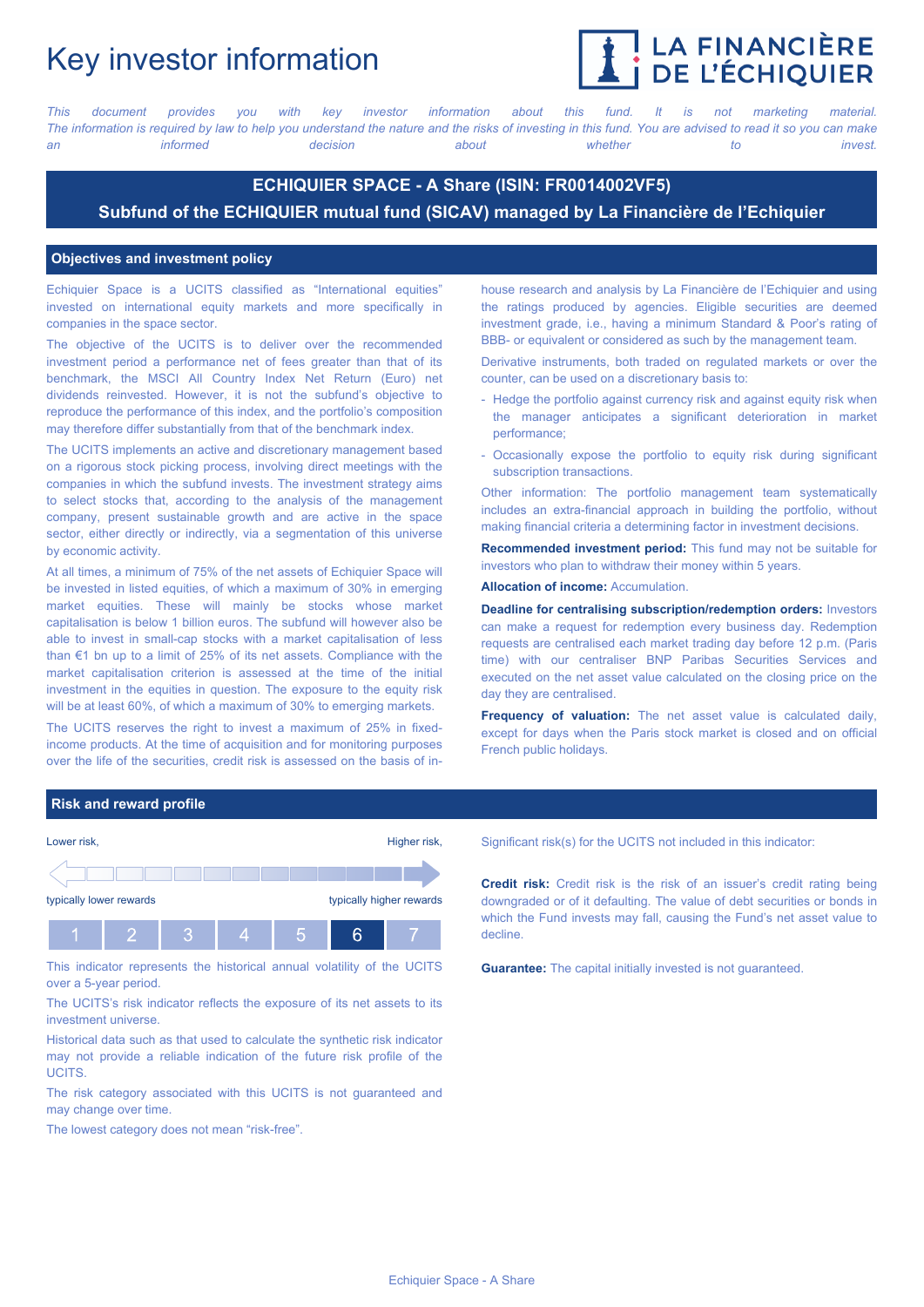# Key investor information



*This document provides you with key investor information about this fund. It is not marketing material.* The information is required by law to help you understand the nature and the risks of investing in this fund. You are advised to read it so you can make *an informed decision about whether to invest.*

## **ECHIQUIER SPACE - A Share (ISIN: FR0014002VF5) Subfund of the ECHIQUIER mutual fund (SICAV) managed by La Financière de l'Echiquier**

#### **Objectives and investment policy**

Echiquier Space is a UCITS classified as "International equities" invested on international equity markets and more specifically in companies in the space sector.

The objective of the UCITS is to deliver over the recommended investment period a performance net of fees greater than that of its benchmark, the MSCI All Country Index Net Return (Euro) net dividends reinvested. However, it is not the subfund's objective to reproduce the performance of this index, and the portfolio's composition may therefore differ substantially from that of the benchmark index.

The UCITS implements an active and discretionary management based on a rigorous stock picking process, involving direct meetings with the companies in which the subfund invests. The investment strategy aims to select stocks that, according to the analysis of the management company, present sustainable growth and are active in the space sector, either directly or indirectly, via a segmentation of this universe by economic activity.

At all times, a minimum of 75% of the net assets of Echiquier Space will be invested in listed equities, of which a maximum of 30% in emerging market equities. These will mainly be stocks whose market capitalisation is below 1 billion euros. The subfund will however also be able to invest in small-cap stocks with a market capitalisation of less than €1 bn up to a limit of 25% of its net assets. Compliance with the market capitalisation criterion is assessed at the time of the initial investment in the equities in question. The exposure to the equity risk will be at least 60%, of which a maximum of 30% to emerging markets.

The UCITS reserves the right to invest a maximum of 25% in fixedincome products. At the time of acquisition and for monitoring purposes over the life of the securities, credit risk is assessed on the basis of inhouse research and analysis by La Financière de l'Echiquier and using the ratings produced by agencies. Eligible securities are deemed investment grade, i.e., having a minimum Standard & Poor's rating of BBB- or equivalent or considered as such by the management team.

Derivative instruments, both traded on regulated markets or over the counter, can be used on a discretionary basis to:

- Hedge the portfolio against currency risk and against equity risk when the manager anticipates a significant deterioration in market performance;
- Occasionally expose the portfolio to equity risk during significant subscription transactions.

Other information: The portfolio management team systematically includes an extra-financial approach in building the portfolio, without making financial criteria a determining factor in investment decisions.

**Recommended investment period:** This fund may not be suitable for investors who plan to withdraw their money within 5 years.

**Allocation of income:** Accumulation.

**Deadline for centralising subscription/redemption orders:** Investors can make a request for redemption every business day. Redemption requests are centralised each market trading day before 12 p.m. (Paris time) with our centraliser BNP Paribas Securities Services and executed on the net asset value calculated on the closing price on the day they are centralised.

**Frequency of valuation:** The net asset value is calculated daily, except for days when the Paris stock market is closed and on official French public holidays.

#### **Risk and reward profile**



This indicator represents the historical annual volatility of the UCITS over a 5-year period.

The UCITS's risk indicator reflects the exposure of its net assets to its investment universe.

Historical data such as that used to calculate the synthetic risk indicator may not provide a reliable indication of the future risk profile of the **UCITS** 

The risk category associated with this UCITS is not guaranteed and may change over time.

The lowest category does not mean "risk-free".

Significant risk(s) for the UCITS not included in this indicator:

**Credit risk:** Credit risk is the risk of an issuer's credit rating being downgraded or of it defaulting. The value of debt securities or bonds in which the Fund invests may fall, causing the Fund's net asset value to decline.

**Guarantee:** The capital initially invested is not guaranteed.